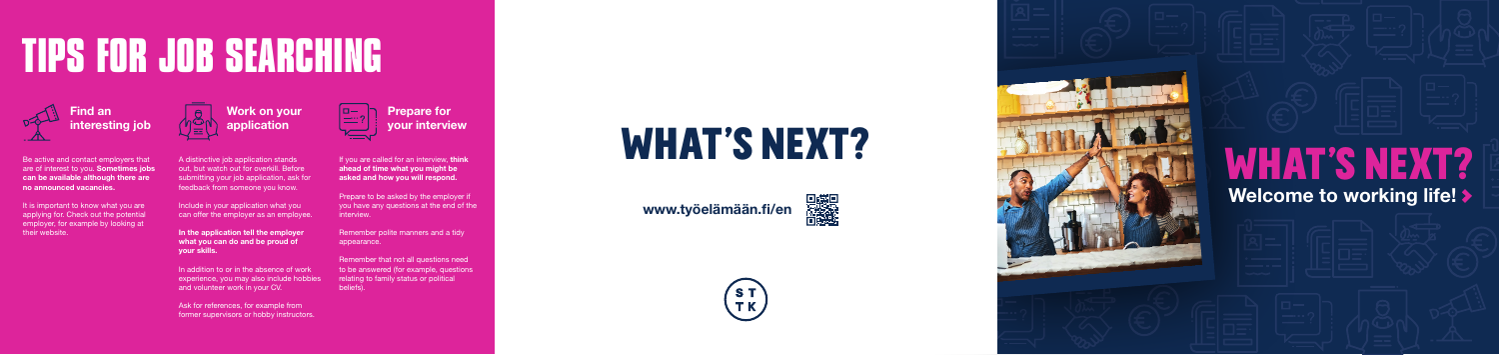# **TIPS FOR JOB SEARCHING**

A distinctive job application stands out, but watch out for overkill. Before submitting your job application, ask for feedback from someone you know.

In addition to or in the absence of work experience, you may also include hobbies and volunteer work in your CV.

Include in your application what you can offer the employer as an employee.

In the application tell the employer what you can do and be proud of your skills.

If you are called for an interview, think ahead of time what you might be asked and how you will respond.

Ask for references, for example from former supervisors or hobby instructors.

Be active and contact employers that are of interest to you. Sometimes jobs can be available although there are no announced vacancies.

It is important to know what you are applying for. Check out the potential employer, for example by looking at their website.

Prepare to be asked by the employer if you have any questions at the end of the interview.

Remember polite manners and a tidy appearance.

Remember that not all questions need to be answered (for example, questions relating to family status or political beliefs).



Find an interesting job





# Welcome to working life! >

www.työelämään.fi/en